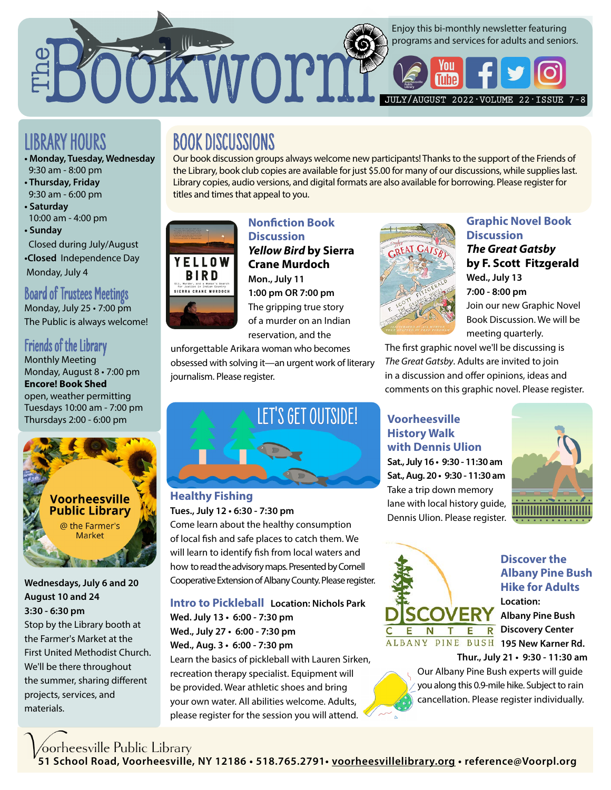

# LIBRARY HOURS

- **Monday, Tuesday, Wednesday**  9:30 am - 8:00 pm
- **Thursday, Friday**  9:30 am - 6:00 pm
- **Saturday**  10:00 am - 4:00 pm
- **Sunday** Closed during July/August
- **•Closed** Independence Day Monday, July 4

#### Board of Trustees Meetings Monday, July 25 • 7:00 pm

The Public is always welcome!

# Friends of the Library

Monthly Meeting Monday, August 8 • 7:00 pm **Encore! Book Shed** open, weather permitting Tuesdays 10:00 am - 7:00 pm Thursdays 2:00 - 6:00 pm



**Wednesdays, July 6 and 20 August 10 and 24 3:30 - 6:30 pm** Stop by the Library booth at the Farmer's Market at the First United Methodist Church. We'll be there throughout the summer, sharing different projects, services, and materials.

**BOOK DISCUSSIONS**<br>Our book discussion groups always welcome new participants! Thanks to the support of the Friends of the Library, book club copies are available for just \$5.00 for many of our discussions, while supplies last. Library copies, audio versions, and digital formats are also available for borrowing. Please register for titles and times that appeal to you.



### **Nonfiction Book Discussion** *Yellow Bird* **by Sierra Crane Murdoch Mon., July 11 1:00 pm OR 7:00 pm**

The gripping true story of a murder on an Indian reservation, and the

unforgettable Arikara woman who becomes obsessed with solving it—an urgent work of literary journalism. Please register.



### **Graphic Novel Book Discussion**

*The Great Gatsby*  **by F. Scott Fitzgerald Wed., July 13 7:00 - 8:00 pm** Join our new Graphic Novel Book Discussion. We will be meeting quarterly.

The first graphic novel we'll be discussing is *The Great Gatsby*. Adults are invited to join in a discussion and offer opinions, ideas and comments on this graphic novel. Please register.



# **Healthy Fishing**

#### **Tues., July 12 • 6:30 - 7:30 pm**

Come learn about the healthy consumption of local fish and safe places to catch them. We will learn to identify fish from local waters and how to read the advisory maps. Presented by Cornell Cooperative Extension of Albany County. Please register.

**Intro to Pickleball Location: Nichols Park Wed. July 13 • 6:00 - 7:30 pm Wed., July 27 • 6:00 - 7:30 pm Wed., Aug. 3 • 6:00 - 7:30 pm** 

Learn the basics of pickleball with Lauren Sirken, recreation therapy specialist. Equipment will be provided. Wear athletic shoes and bring your own water. All abilities welcome. Adults, please register for the session you will attend.

#### **Voorheesville History Walk with Dennis Ulion**

**Sat., July 16 • 9:30 - 11:30 am Sat., Aug. 20 • 9:30 - 11:30 am** Take a trip down memory lane with local history guide, Dennis Ulion. Please register.





#### **Discover the Albany Pine Bush Hike for Adults Location:**

**Albany Pine Bush T E R** Discovery Center

 **Thur., July 21 • 9:30 - 11:30 am** Our Albany Pine Bush experts will guide

you along this 0.9-mile hike. Subject to rain cancellation. Please register individually.

**51 School Road, Voorheesville, NY 12186 • 518.765.2791• [voorheesvillelibrary.org](https://voorheesvillelibrary.org/) • reference@Voorpl.org**